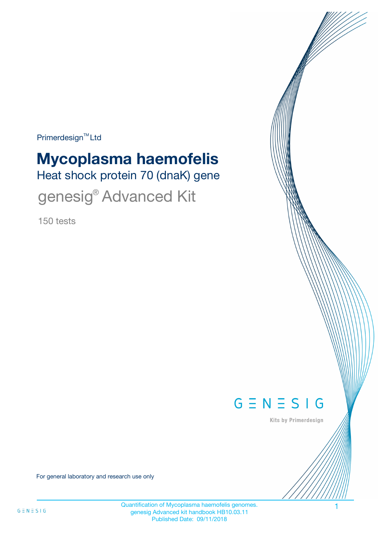Primerdesign<sup>™</sup>Ltd

# **Mycoplasma haemofelis**

Heat shock protein 70 (dnaK) gene

genesig<sup>®</sup> Advanced Kit

150 tests



Kits by Primerdesign

For general laboratory and research use only

Quantification of Mycoplasma haemofelis genomes. 1 genesig Advanced kit handbook HB10.03.11 Published Date: 09/11/2018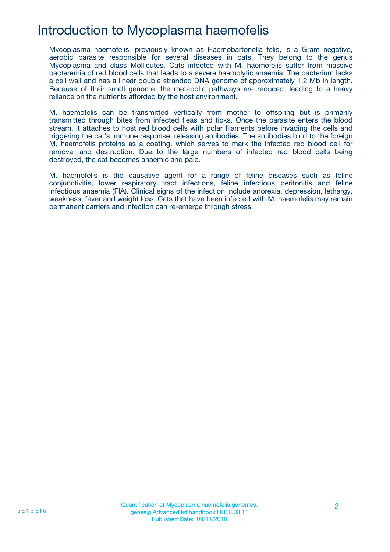# Introduction to Mycoplasma haemofelis

Mycoplasma haemofelis, previously known as Haemobartonella felis, is a Gram negative, aerobic parasite responsible for several diseases in cats. They belong to the genus Mycoplasma and class Mollicutes. Cats infected with M. haemofelis suffer from massive bacteremia of red blood cells that leads to a severe haemolytic anaemia. The bacterium lacks a cell wall and has a linear double stranded DNA genome of approximately 1.2 Mb in length. Because of their small genome, the metabolic pathways are reduced, leading to a heavy reliance on the nutrients afforded by the host environment.

M. haemofelis can be transmitted vertically from mother to offspring but is primarily transmitted through bites from infected fleas and ticks. Once the parasite enters the blood stream, it attaches to host red blood cells with polar filaments before invading the cells and triggering the cat's immune response, releasing antibodies. The antibodies bind to the foreign M. haemofelis proteins as a coating, which serves to mark the infected red blood cell for removal and destruction. Due to the large numbers of infected red blood cells being destroyed, the cat becomes anaemic and pale.

M. haemofelis is the causative agent for a range of feline diseases such as feline conjunctivitis, lower respiratory tract infections, feline infectious peritonitis and feline infectious anaemia (FIA). Clinical signs of the infection include anorexia, depression, lethargy, weakness, fever and weight loss. Cats that have been infected with M. haemofelis may remain permanent carriers and infection can re-emerge through stress.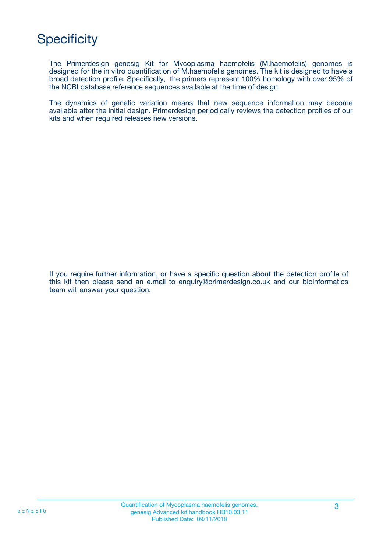# **Specificity**

The Primerdesign genesig Kit for Mycoplasma haemofelis (M.haemofelis) genomes is designed for the in vitro quantification of M.haemofelis genomes. The kit is designed to have a broad detection profile. Specifically, the primers represent 100% homology with over 95% of the NCBI database reference sequences available at the time of design.

The dynamics of genetic variation means that new sequence information may become available after the initial design. Primerdesign periodically reviews the detection profiles of our kits and when required releases new versions.

If you require further information, or have a specific question about the detection profile of this kit then please send an e.mail to enquiry@primerdesign.co.uk and our bioinformatics team will answer your question.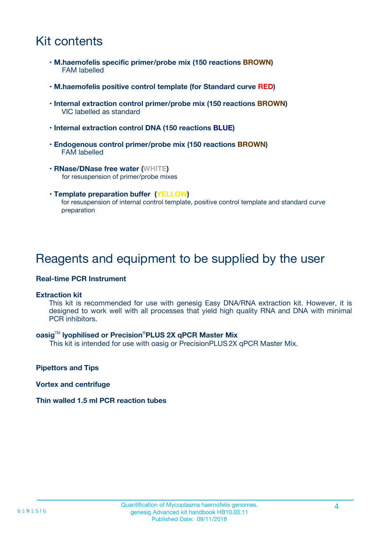# Kit contents

- **M.haemofelis specific primer/probe mix (150 reactions BROWN)** FAM labelled
- **M.haemofelis positive control template (for Standard curve RED)**
- **Internal extraction control primer/probe mix (150 reactions BROWN)** VIC labelled as standard
- **Internal extraction control DNA (150 reactions BLUE)**
- **Endogenous control primer/probe mix (150 reactions BROWN)** FAM labelled
- **RNase/DNase free water (WHITE)** for resuspension of primer/probe mixes
- **Template preparation buffer (YELLOW)** for resuspension of internal control template, positive control template and standard curve preparation

### Reagents and equipment to be supplied by the user

#### **Real-time PCR Instrument**

#### **Extraction kit**

This kit is recommended for use with genesig Easy DNA/RNA extraction kit. However, it is designed to work well with all processes that yield high quality RNA and DNA with minimal PCR inhibitors.

#### **oasig**TM **lyophilised or Precision**®**PLUS 2X qPCR Master Mix**

This kit is intended for use with oasig or PrecisionPLUS2X qPCR Master Mix.

**Pipettors and Tips**

**Vortex and centrifuge**

#### **Thin walled 1.5 ml PCR reaction tubes**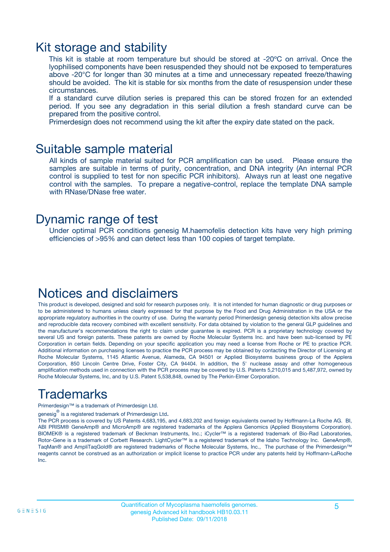### Kit storage and stability

This kit is stable at room temperature but should be stored at -20ºC on arrival. Once the lyophilised components have been resuspended they should not be exposed to temperatures above -20°C for longer than 30 minutes at a time and unnecessary repeated freeze/thawing should be avoided. The kit is stable for six months from the date of resuspension under these circumstances.

If a standard curve dilution series is prepared this can be stored frozen for an extended period. If you see any degradation in this serial dilution a fresh standard curve can be prepared from the positive control.

Primerdesign does not recommend using the kit after the expiry date stated on the pack.

### Suitable sample material

All kinds of sample material suited for PCR amplification can be used. Please ensure the samples are suitable in terms of purity, concentration, and DNA integrity (An internal PCR control is supplied to test for non specific PCR inhibitors). Always run at least one negative control with the samples. To prepare a negative-control, replace the template DNA sample with RNase/DNase free water.

### Dynamic range of test

Under optimal PCR conditions genesig M.haemofelis detection kits have very high priming efficiencies of >95% and can detect less than 100 copies of target template.

### Notices and disclaimers

This product is developed, designed and sold for research purposes only. It is not intended for human diagnostic or drug purposes or to be administered to humans unless clearly expressed for that purpose by the Food and Drug Administration in the USA or the appropriate regulatory authorities in the country of use. During the warranty period Primerdesign genesig detection kits allow precise and reproducible data recovery combined with excellent sensitivity. For data obtained by violation to the general GLP guidelines and the manufacturer's recommendations the right to claim under guarantee is expired. PCR is a proprietary technology covered by several US and foreign patents. These patents are owned by Roche Molecular Systems Inc. and have been sub-licensed by PE Corporation in certain fields. Depending on your specific application you may need a license from Roche or PE to practice PCR. Additional information on purchasing licenses to practice the PCR process may be obtained by contacting the Director of Licensing at Roche Molecular Systems, 1145 Atlantic Avenue, Alameda, CA 94501 or Applied Biosystems business group of the Applera Corporation, 850 Lincoln Centre Drive, Foster City, CA 94404. In addition, the 5' nuclease assay and other homogeneous amplification methods used in connection with the PCR process may be covered by U.S. Patents 5,210,015 and 5,487,972, owned by Roche Molecular Systems, Inc, and by U.S. Patent 5,538,848, owned by The Perkin-Elmer Corporation.

# Trademarks

Primerdesign™ is a trademark of Primerdesign Ltd.

genesig $^\circledR$  is a registered trademark of Primerdesign Ltd.

The PCR process is covered by US Patents 4,683,195, and 4,683,202 and foreign equivalents owned by Hoffmann-La Roche AG. BI, ABI PRISM® GeneAmp® and MicroAmp® are registered trademarks of the Applera Genomics (Applied Biosystems Corporation). BIOMEK® is a registered trademark of Beckman Instruments, Inc.; iCycler™ is a registered trademark of Bio-Rad Laboratories, Rotor-Gene is a trademark of Corbett Research. LightCycler™ is a registered trademark of the Idaho Technology Inc. GeneAmp®, TaqMan® and AmpliTaqGold® are registered trademarks of Roche Molecular Systems, Inc., The purchase of the Primerdesign™ reagents cannot be construed as an authorization or implicit license to practice PCR under any patents held by Hoffmann-LaRoche Inc.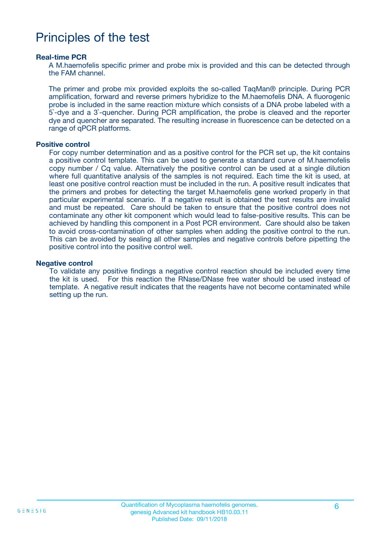### Principles of the test

#### **Real-time PCR**

A M.haemofelis specific primer and probe mix is provided and this can be detected through the FAM channel.

The primer and probe mix provided exploits the so-called TaqMan® principle. During PCR amplification, forward and reverse primers hybridize to the M.haemofelis DNA. A fluorogenic probe is included in the same reaction mixture which consists of a DNA probe labeled with a 5`-dye and a 3`-quencher. During PCR amplification, the probe is cleaved and the reporter dye and quencher are separated. The resulting increase in fluorescence can be detected on a range of qPCR platforms.

#### **Positive control**

For copy number determination and as a positive control for the PCR set up, the kit contains a positive control template. This can be used to generate a standard curve of M.haemofelis copy number / Cq value. Alternatively the positive control can be used at a single dilution where full quantitative analysis of the samples is not required. Each time the kit is used, at least one positive control reaction must be included in the run. A positive result indicates that the primers and probes for detecting the target M.haemofelis gene worked properly in that particular experimental scenario. If a negative result is obtained the test results are invalid and must be repeated. Care should be taken to ensure that the positive control does not contaminate any other kit component which would lead to false-positive results. This can be achieved by handling this component in a Post PCR environment. Care should also be taken to avoid cross-contamination of other samples when adding the positive control to the run. This can be avoided by sealing all other samples and negative controls before pipetting the positive control into the positive control well.

#### **Negative control**

To validate any positive findings a negative control reaction should be included every time the kit is used. For this reaction the RNase/DNase free water should be used instead of template. A negative result indicates that the reagents have not become contaminated while setting up the run.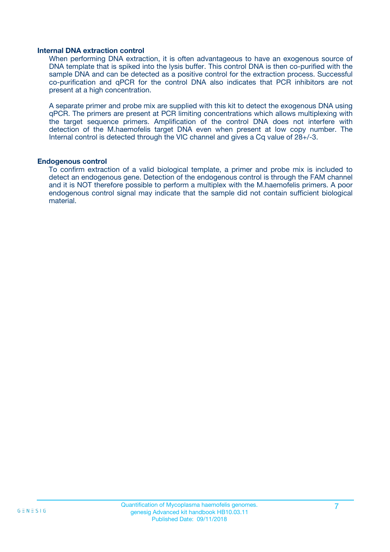#### **Internal DNA extraction control**

When performing DNA extraction, it is often advantageous to have an exogenous source of DNA template that is spiked into the lysis buffer. This control DNA is then co-purified with the sample DNA and can be detected as a positive control for the extraction process. Successful co-purification and qPCR for the control DNA also indicates that PCR inhibitors are not present at a high concentration.

A separate primer and probe mix are supplied with this kit to detect the exogenous DNA using qPCR. The primers are present at PCR limiting concentrations which allows multiplexing with the target sequence primers. Amplification of the control DNA does not interfere with detection of the M.haemofelis target DNA even when present at low copy number. The Internal control is detected through the VIC channel and gives a Cq value of 28+/-3.

#### **Endogenous control**

To confirm extraction of a valid biological template, a primer and probe mix is included to detect an endogenous gene. Detection of the endogenous control is through the FAM channel and it is NOT therefore possible to perform a multiplex with the M.haemofelis primers. A poor endogenous control signal may indicate that the sample did not contain sufficient biological material.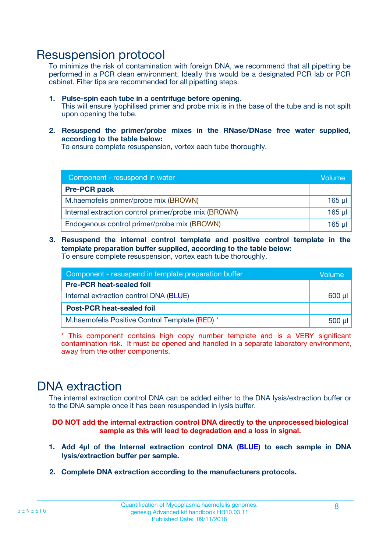### Resuspension protocol

To minimize the risk of contamination with foreign DNA, we recommend that all pipetting be performed in a PCR clean environment. Ideally this would be a designated PCR lab or PCR cabinet. Filter tips are recommended for all pipetting steps.

- **1. Pulse-spin each tube in a centrifuge before opening.** This will ensure lyophilised primer and probe mix is in the base of the tube and is not spilt upon opening the tube.
- **2. Resuspend the primer/probe mixes in the RNase/DNase free water supplied, according to the table below:**

To ensure complete resuspension, vortex each tube thoroughly.

| Component - resuspend in water                       |         |  |
|------------------------------------------------------|---------|--|
| <b>Pre-PCR pack</b>                                  |         |  |
| M.haemofelis primer/probe mix (BROWN)                | $165$ µ |  |
| Internal extraction control primer/probe mix (BROWN) | $165$ µ |  |
| Endogenous control primer/probe mix (BROWN)          | 165 µl  |  |

**3. Resuspend the internal control template and positive control template in the template preparation buffer supplied, according to the table below:** To ensure complete resuspension, vortex each tube thoroughly.

| Component - resuspend in template preparation buffer |  |  |  |
|------------------------------------------------------|--|--|--|
| <b>Pre-PCR heat-sealed foil</b>                      |  |  |  |
| Internal extraction control DNA (BLUE)               |  |  |  |
| <b>Post-PCR heat-sealed foil</b>                     |  |  |  |
| M.haemofelis Positive Control Template (RED) *       |  |  |  |

\* This component contains high copy number template and is a VERY significant contamination risk. It must be opened and handled in a separate laboratory environment, away from the other components.

### DNA extraction

The internal extraction control DNA can be added either to the DNA lysis/extraction buffer or to the DNA sample once it has been resuspended in lysis buffer.

**DO NOT add the internal extraction control DNA directly to the unprocessed biological sample as this will lead to degradation and a loss in signal.**

- **1. Add 4µl of the Internal extraction control DNA (BLUE) to each sample in DNA lysis/extraction buffer per sample.**
- **2. Complete DNA extraction according to the manufacturers protocols.**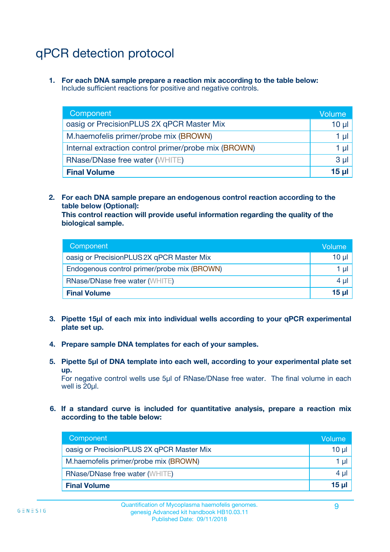# qPCR detection protocol

**1. For each DNA sample prepare a reaction mix according to the table below:** Include sufficient reactions for positive and negative controls.

| Component                                            | Volume   |
|------------------------------------------------------|----------|
| oasig or PrecisionPLUS 2X qPCR Master Mix            | $10 \mu$ |
| M.haemofelis primer/probe mix (BROWN)                | 1 µI     |
| Internal extraction control primer/probe mix (BROWN) | 1 µl     |
| <b>RNase/DNase free water (WHITE)</b>                | $3 \mu$  |
| <b>Final Volume</b>                                  | 15 µl    |

**2. For each DNA sample prepare an endogenous control reaction according to the table below (Optional):**

**This control reaction will provide useful information regarding the quality of the biological sample.**

| Component                                   | Volume          |
|---------------------------------------------|-----------------|
| oasig or PrecisionPLUS 2X qPCR Master Mix   | $10 \mu$        |
| Endogenous control primer/probe mix (BROWN) | 1 µI            |
| <b>RNase/DNase free water (WHITE)</b>       | 4 µl            |
| <b>Final Volume</b>                         | 15 <sub>µ</sub> |

- **3. Pipette 15µl of each mix into individual wells according to your qPCR experimental plate set up.**
- **4. Prepare sample DNA templates for each of your samples.**
- **5. Pipette 5µl of DNA template into each well, according to your experimental plate set up.**

For negative control wells use 5µl of RNase/DNase free water. The final volume in each well is 20ul.

**6. If a standard curve is included for quantitative analysis, prepare a reaction mix according to the table below:**

| Component                                 | Volume  |
|-------------------------------------------|---------|
| oasig or PrecisionPLUS 2X qPCR Master Mix | 10 µl   |
| M.haemofelis primer/probe mix (BROWN)     | 1 µI    |
| <b>RNase/DNase free water (WHITE)</b>     | $4 \mu$ |
| <b>Final Volume</b>                       | 15 µl   |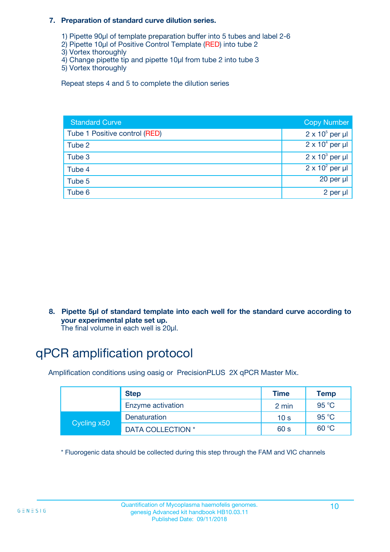#### **7. Preparation of standard curve dilution series.**

- 1) Pipette 90µl of template preparation buffer into 5 tubes and label 2-6
- 2) Pipette 10µl of Positive Control Template (RED) into tube 2
- 3) Vortex thoroughly
- 4) Change pipette tip and pipette 10µl from tube 2 into tube 3
- 5) Vortex thoroughly

Repeat steps 4 and 5 to complete the dilution series

| <b>Standard Curve</b>         | <b>Copy Number</b>     |
|-------------------------------|------------------------|
| Tube 1 Positive control (RED) | $2 \times 10^5$ per µl |
| Tube 2                        | $2 \times 10^4$ per µl |
| Tube 3                        | $2 \times 10^3$ per µl |
| Tube 4                        | $2 \times 10^2$ per µl |
| Tube 5                        | 20 per µl              |
| Tube 6                        | 2 per µl               |

**8. Pipette 5µl of standard template into each well for the standard curve according to your experimental plate set up.**

#### The final volume in each well is 20µl.

# qPCR amplification protocol

Amplification conditions using oasig or PrecisionPLUS 2X qPCR Master Mix.

|             | <b>Step</b>       | <b>Time</b>     | Temp    |
|-------------|-------------------|-----------------|---------|
|             | Enzyme activation | 2 min           | 95 °C   |
| Cycling x50 | Denaturation      | 10 <sub>s</sub> | 95 $°C$ |
|             | DATA COLLECTION * | 60 s            | 60 °C   |

\* Fluorogenic data should be collected during this step through the FAM and VIC channels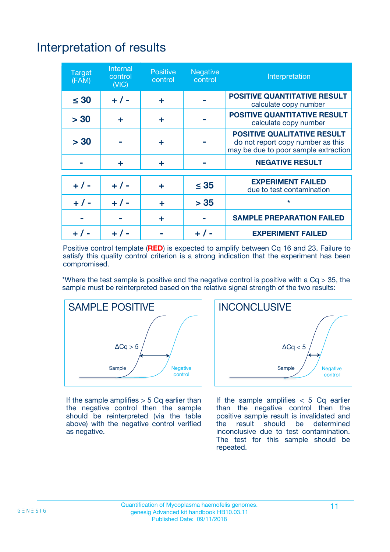# Interpretation of results

| <b>Target</b><br>(FAM) | <b>Internal</b><br>control<br>(NIC) | <b>Positive</b><br>control | <b>Negative</b><br>control | Interpretation                                                                                                  |
|------------------------|-------------------------------------|----------------------------|----------------------------|-----------------------------------------------------------------------------------------------------------------|
| $\leq 30$              | $+ 1 -$                             | ÷                          |                            | <b>POSITIVE QUANTITATIVE RESULT</b><br>calculate copy number                                                    |
| > 30                   | ٠                                   | ÷                          |                            | <b>POSITIVE QUANTITATIVE RESULT</b><br>calculate copy number                                                    |
| > 30                   |                                     | ÷                          |                            | <b>POSITIVE QUALITATIVE RESULT</b><br>do not report copy number as this<br>may be due to poor sample extraction |
|                        | ÷                                   | ÷                          |                            | <b>NEGATIVE RESULT</b>                                                                                          |
| $+ 1 -$                | $+ 1 -$                             | ÷                          | $\leq$ 35                  | <b>EXPERIMENT FAILED</b><br>due to test contamination                                                           |
| $+$ / -                | $+ 1 -$                             | ÷                          | > 35                       | $\star$                                                                                                         |
|                        |                                     | ÷                          |                            | <b>SAMPLE PREPARATION FAILED</b>                                                                                |
|                        |                                     |                            | $+$ /                      | <b>EXPERIMENT FAILED</b>                                                                                        |

Positive control template (**RED**) is expected to amplify between Cq 16 and 23. Failure to satisfy this quality control criterion is a strong indication that the experiment has been compromised.

\*Where the test sample is positive and the negative control is positive with a  $Ca > 35$ , the sample must be reinterpreted based on the relative signal strength of the two results:



If the sample amplifies  $> 5$  Cq earlier than the negative control then the sample should be reinterpreted (via the table above) with the negative control verified as negative.



If the sample amplifies  $< 5$  Cq earlier than the negative control then the positive sample result is invalidated and<br>the result should be determined  $the$  result should be inconclusive due to test contamination. The test for this sample should be repeated.